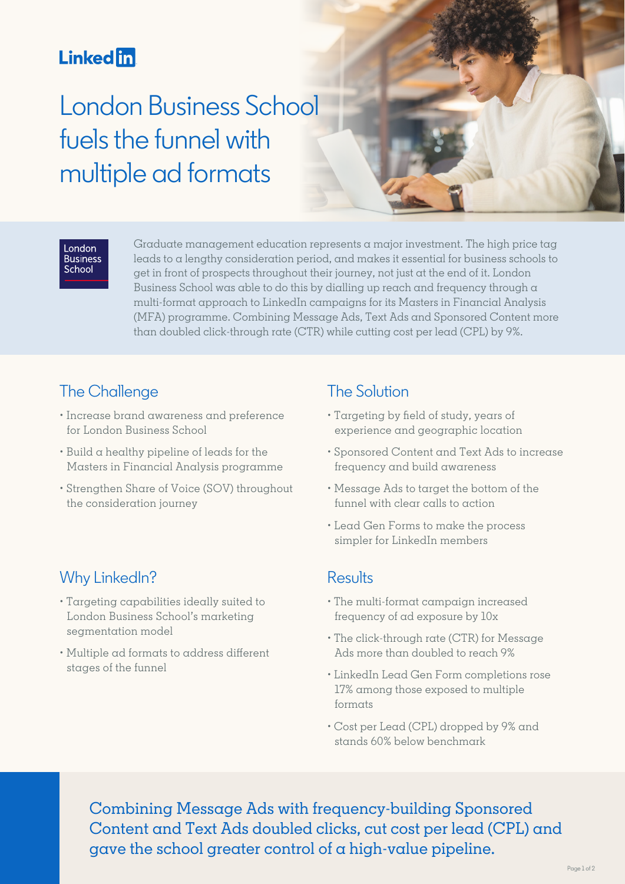# **Linked** in

# London Business School fuels the funnel with multiple ad formats



#### London **Business** School

Graduate management education represents a major investment. The high price tag leads to a lengthy consideration period, and makes it essential for business schools to get in front of prospects throughout their journey, not just at the end of it. London Business School was able to do this by dialling up reach and frequency through  $\alpha$ multi-format approach to LinkedIn campaigns for its Masters in Financial Analysis (MFA) programme. Combining Message Ads, Text Ads and Sponsored Content more than doubled click-through rate (CTR) while cutting cost per lead (CPL) by 9%.

# The Challenge

- Increase brand awareness and preference for London Business School
- Build a healthy pipeline of leads for the Masters in Financial Analysis programme
- Strengthen Share of Voice (SOV) throughout the consideration journey

#### Why LinkedIn?

- Targeting capabilities ideally suited to London Business School's marketing segmentation model
- Multiple ad formats to address different stages of the funnel

# The Solution

- Targeting by field of study, years of experience and geographic location
- Sponsored Content and Text Ads to increase frequency and build awareness
- Message Ads to target the bottom of the funnel with clear calls to action
- Lead Gen Forms to make the process simpler for LinkedIn members

#### Results

- The multi-format campaign increased frequency of ad exposure by 10x
- The click-through rate (CTR) for Message Ads more than doubled to reach 9%
- LinkedIn Lead Gen Form completions rose 17% among those exposed to multiple formats
- Cost per Lead (CPL) dropped by 9% and stands 60% below benchmark

Combining Message Ads with frequency-building Sponsored Content and Text Ads doubled clicks, cut cost per lead (CPL) and gave the school greater control of a high-value pipeline.